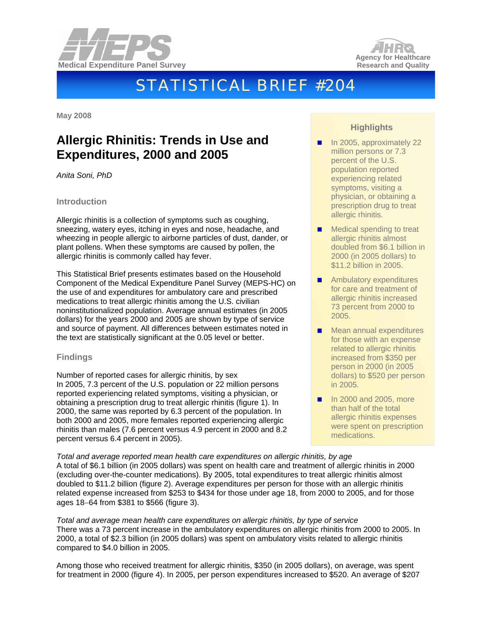



# STATISTICAL BRIEF #204

**May 2008** 

# **Allergic Rhinitis: Trends in Use and Expenditures, 2000 and 2005**

*Anita Soni, PhD* 

#### **Introduction**

Allergic rhinitis is a collection of symptoms such as coughing, sneezing, watery eyes, itching in eyes and nose, headache, and wheezing in people allergic to airborne particles of dust, dander, or plant pollens. When these symptoms are caused by pollen, the allergic rhinitis is commonly called hay fever.

This Statistical Brief presents estimates based on the Household Component of the Medical Expenditure Panel Survey (MEPS-HC) on the use of and expenditures for ambulatory care and prescribed medications to treat allergic rhinitis among the U.S. civilian noninstitutionalized population. Average annual estimates (in 2005 dollars) for the years 2000 and 2005 are shown by type of service and source of payment. All differences between estimates noted in the text are statistically significant at the 0.05 level or better.

#### **Findings**

Number of reported cases for allergic rhinitis, by sex In 2005, 7.3 percent of the U.S. population or 22 million persons reported experiencing related symptoms, visiting a physician, or obtaining a prescription drug to treat allergic rhinitis (figure 1). In 2000, the same was reported by 6.3 percent of the population. In both 2000 and 2005, more females reported experiencing allergic rhinitis than males (7.6 percent versus 4.9 percent in 2000 and 8.2 percent versus 6.4 percent in 2005).

### **Highlights**

- In 2005, approximately 22 million persons or 7.3 percent of the U.S. population reported experiencing related symptoms, visiting a physician, or obtaining a prescription drug to treat allergic rhinitis.
- **Medical spending to treat** allergic rhinitis almost doubled from \$6.1 billion in 2000 (in 2005 dollars) to \$11.2 billion in 2005.
- **Ambulatory expenditures** for care and treatment of allergic rhinitis increased 73 percent from 2000 to 2005.
- **Mean annual expenditures** for those with an expense related to allergic rhinitis increased from \$350 per person in 2000 (in 2005 dollars) to \$520 per person in 2005.
- **In 2000 and 2005, more** than half of the total allergic rhinitis expenses were spent on prescription medications.

*Total and average reported mean health care expenditures on allergic rhinitis, by age*  A total of \$6.1 billion (in 2005 dollars) was spent on health care and treatment of allergic rhinitis in 2000 (excluding over-the-counter medications). By 2005, total expenditures to treat allergic rhinitis almost doubled to \$11.2 billion (figure 2). Average expenditures per person for those with an allergic rhinitis related expense increased from \$253 to \$434 for those under age 18, from 2000 to 2005, and for those ages 18−64 from \$381 to \$566 (figure 3).

*Total and average mean health care expenditures on allergic rhinitis, by type of service*  There was a 73 percent increase in the ambulatory expenditures on allergic rhinitis from 2000 to 2005. In 2000, a total of \$2.3 billion (in 2005 dollars) was spent on ambulatory visits related to allergic rhinitis compared to \$4.0 billion in 2005.

Among those who received treatment for allergic rhinitis, \$350 (in 2005 dollars), on average, was spent for treatment in 2000 (figure 4). In 2005, per person expenditures increased to \$520. An average of \$207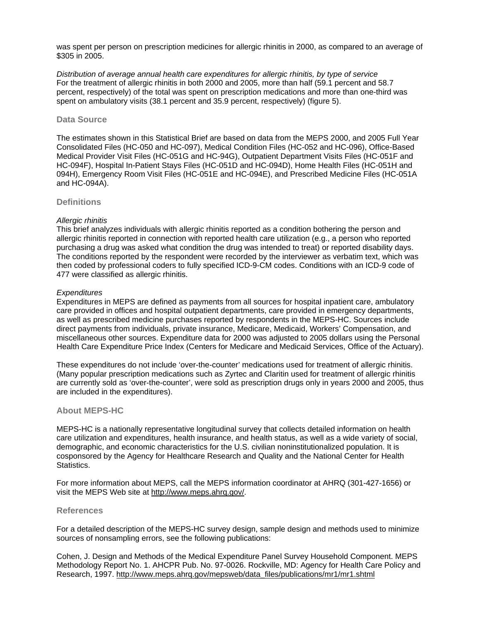was spent per person on prescription medicines for allergic rhinitis in 2000, as compared to an average of \$305 in 2005.

*Distribution of average annual health care expenditures for allergic rhinitis, by type of service*  For the treatment of allergic rhinitis in both 2000 and 2005, more than half (59.1 percent and 58.7 percent, respectively) of the total was spent on prescription medications and more than one-third was spent on ambulatory visits (38.1 percent and 35.9 percent, respectively) (figure 5).

#### **Data Source**

The estimates shown in this Statistical Brief are based on data from the MEPS 2000, and 2005 Full Year Consolidated Files (HC-050 and HC-097), Medical Condition Files (HC-052 and HC-096), Office-Based Medical Provider Visit Files (HC-051G and HC-94G), Outpatient Department Visits Files (HC-051F and HC-094F), Hospital In-Patient Stays Files (HC-051D and HC-094D), Home Health Files (HC-051H and 094H), Emergency Room Visit Files (HC-051E and HC-094E), and Prescribed Medicine Files (HC-051A and HC-094A).

#### **Definitions**

#### *Allergic rhinitis*

This brief analyzes individuals with allergic rhinitis reported as a condition bothering the person and allergic rhinitis reported in connection with reported health care utilization (e.g., a person who reported purchasing a drug was asked what condition the drug was intended to treat) or reported disability days. The conditions reported by the respondent were recorded by the interviewer as verbatim text, which was then coded by professional coders to fully specified ICD-9-CM codes. Conditions with an ICD-9 code of 477 were classified as allergic rhinitis.

#### *Expenditures*

Expenditures in MEPS are defined as payments from all sources for hospital inpatient care, ambulatory care provided in offices and hospital outpatient departments, care provided in emergency departments, as well as prescribed medicine purchases reported by respondents in the MEPS-HC. Sources include direct payments from individuals, private insurance, Medicare, Medicaid, Workers' Compensation, and miscellaneous other sources. Expenditure data for 2000 was adjusted to 2005 dollars using the Personal Health Care Expenditure Price Index (Centers for Medicare and Medicaid Services, Office of the Actuary).

These expenditures do not include 'over-the-counter' medications used for treatment of allergic rhinitis. (Many popular prescription medications such as Zyrtec and Claritin used for treatment of allergic rhinitis are currently sold as 'over-the-counter', were sold as prescription drugs only in years 2000 and 2005, thus are included in the expenditures).

#### **About MEPS-HC**

MEPS-HC is a nationally representative longitudinal survey that collects detailed information on health care utilization and expenditures, health insurance, and health status, as well as a wide variety of social, demographic, and economic characteristics for the U.S. civilian noninstitutionalized population. It is cosponsored by the Agency for Healthcare Research and Quality and the National Center for Health Statistics.

For more information about MEPS, call the MEPS information coordinator at AHRQ (301-427-1656) or visit the MEPS Web site at [http://www.meps.ahrq.gov/.](http://www.meps.ahrq.gov/)

#### **References**

For a detailed description of the MEPS-HC survey design, sample design and methods used to minimize sources of nonsampling errors, see the following publications:

Cohen, J. Design and Methods of the Medical Expenditure Panel Survey Household Component. MEPS Methodology Report No. 1. AHCPR Pub. No. 97-0026. Rockville, MD: Agency for Health Care Policy and Research, 1997. [http://www.meps.ahrq.gov/mepsweb/data\\_files/publications/mr1/mr1.shtml](http://www.meps.ahrq.gov/mepsweb/data_files/publications/mr1/mr1.shtml)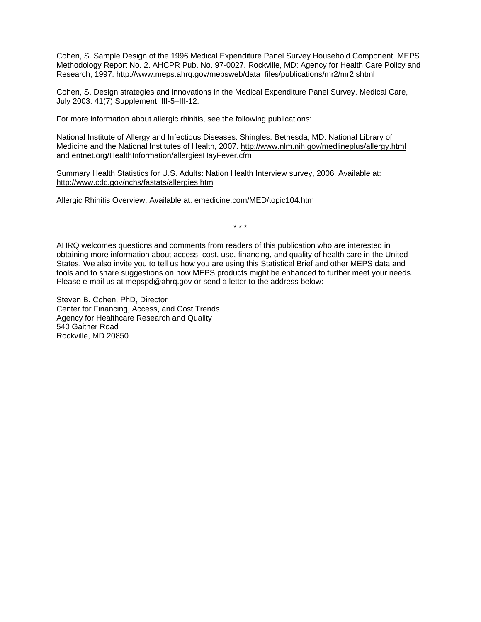Cohen, S. Sample Design of the 1996 Medical Expenditure Panel Survey Household Component. MEPS Methodology Report No. 2. AHCPR Pub. No. 97-0027. Rockville, MD: Agency for Health Care Policy and Research, 1997. [http://www.meps.ahrq.gov/mepsweb/data\\_files/publications/mr2/mr2.shtml](http://www.meps.ahrq.gov/mepsweb/data_files/publications/mr2/mr2.shtml)

Cohen, S. Design strategies and innovations in the Medical Expenditure Panel Survey. Medical Care, July 2003: 41(7) Supplement: III-5–III-12.

For more information about allergic rhinitis, see the following publications:

National Institute of Allergy and Infectious Diseases. Shingles. Bethesda, MD: National Library of Medicine and the National Institutes of Health, 2007. <http://www.nlm.nih.gov/medlineplus/allergy.html> and entnet.org/HealthInformation/allergiesHayFever.cfm

Summary Health Statistics for U.S. Adults: Nation Health Interview survey, 2006. Available at: <http://www.cdc.gov/nchs/fastats/allergies.htm>

Allergic Rhinitis Overview. Available at: emedicine.com/MED/topic104.htm

\* \* \*

AHRQ welcomes questions and comments from readers of this publication who are interested in obtaining more information about access, cost, use, financing, and quality of health care in the United States. We also invite you to tell us how you are using this Statistical Brief and other MEPS data and tools and to share suggestions on how MEPS products might be enhanced to further meet your needs. Please e-mail us at mepspd@ahrq.gov or send a letter to the address below:

Steven B. Cohen, PhD, Director Center for Financing, Access, and Cost Trends Agency for Healthcare Research and Quality 540 Gaither Road Rockville, MD 20850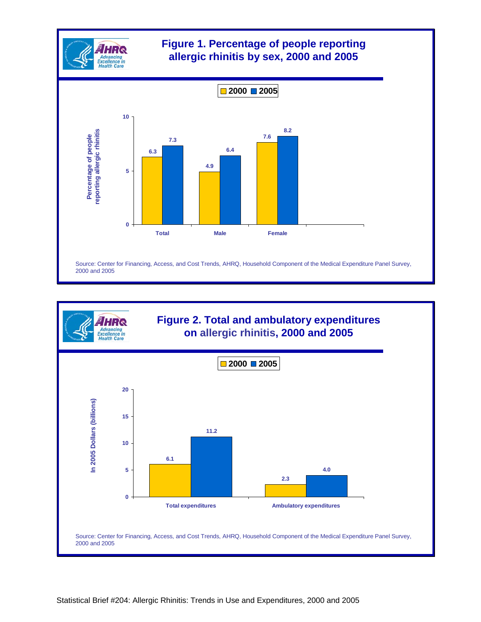

## **Figure 1. Percentage of people reporting allergic rhinitis by sex, 2000 and 2005**



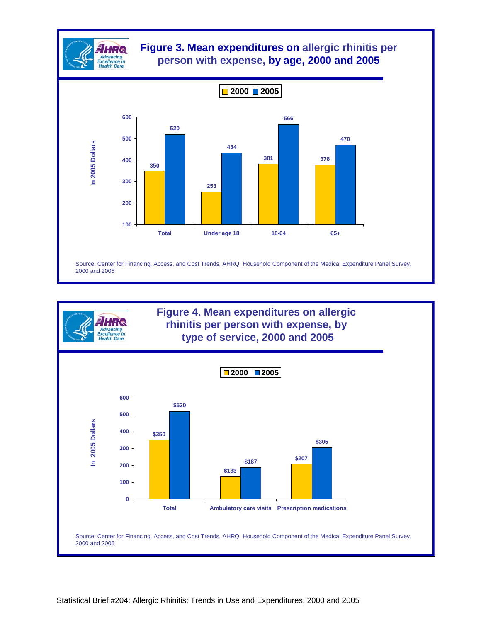